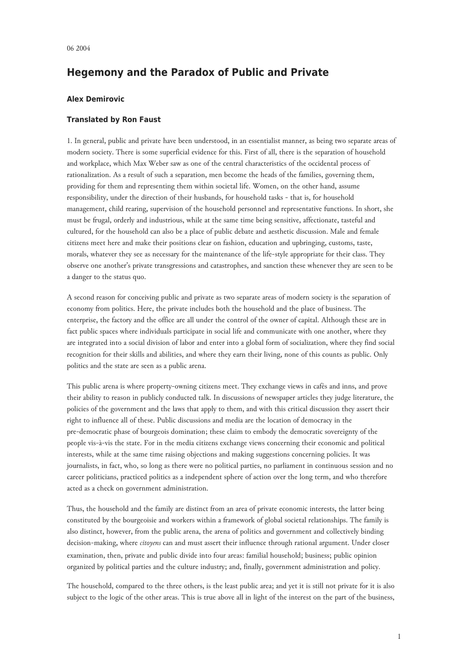## **Hegemony and the Paradox of Public and Private**

## **Alex Demirovic**

## **Translated by Ron Faust**

1. In general, public and private have been understood, in an essentialist manner, as being two separate areas of modern society. There is some superficial evidence for this. First of all, there is the separation of household and workplace, which Max Weber saw as one of the central characteristics of the occidental process of rationalization. As a result of such a separation, men become the heads of the families, governing them, providing for them and representing them within societal life. Women, on the other hand, assume responsibility, under the direction of their husbands, for household tasks - that is, for household management, child rearing, supervision of the household personnel and representative functions. In short, she must be frugal, orderly and industrious, while at the same time being sensitive, affectionate, tasteful and cultured, for the household can also be a place of public debate and aesthetic discussion. Male and female citizens meet here and make their positions clear on fashion, education and upbringing, customs, taste, morals, whatever they see as necessary for the maintenance of the life-style appropriate for their class. They observe one another's private transgressions and catastrophes, and sanction these whenever they are seen to be a danger to the status quo.

A second reason for conceiving public and private as two separate areas of modern society is the separation of economy from politics. Here, the private includes both the household and the place of business. The enterprise, the factory and the office are all under the control of the owner of capital. Although these are in fact public spaces where individuals participate in social life and communicate with one another, where they are integrated into a social division of labor and enter into a global form of socialization, where they find social recognition for their skills and abilities, and where they earn their living, none of this counts as public. Only politics and the state are seen as a public arena.

This public arena is where property-owning citizens meet. They exchange views in cafés and inns, and prove their ability to reason in publicly conducted talk. In discussions of newspaper articles they judge literature, the policies of the government and the laws that apply to them, and with this critical discussion they assert their right to influence all of these. Public discussions and media are the location of democracy in the pre-democratic phase of bourgeois domination; these claim to embody the democratic sovereignty of the people vis-à-vis the state. For in the media citizens exchange views concerning their economic and political interests, while at the same time raising objections and making suggestions concerning policies. It was journalists, in fact, who, so long as there were no political parties, no parliament in continuous session and no career politicians, practiced politics as a independent sphere of action over the long term, and who therefore acted as a check on government administration.

Thus, the household and the family are distinct from an area of private economic interests, the latter being constituted by the bourgeoisie and workers within a framework of global societal relationships. The family is also distinct, however, from the public arena, the arena of politics and government and collectively binding decision-making, where *citoyens* can and must assert their influence through rational argument. Under closer examination, then, private and public divide into four areas: familial household; business; public opinion organized by political parties and the culture industry; and, finally, government administration and policy.

The household, compared to the three others, is the least public area; and yet it is still not private for it is also subject to the logic of the other areas. This is true above all in light of the interest on the part of the business,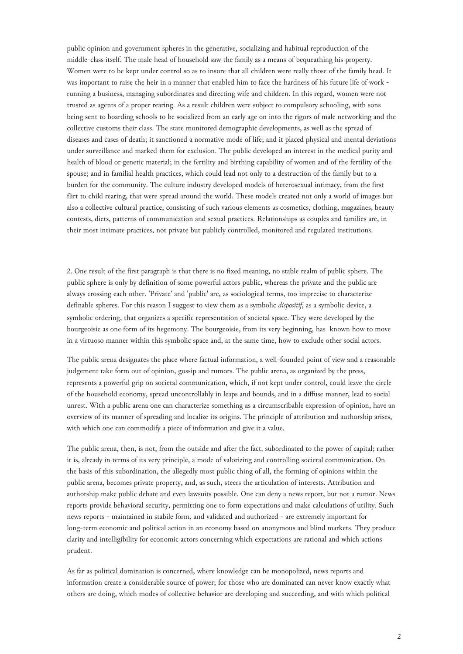public opinion and government spheres in the generative, socializing and habitual reproduction of the middle-class itself. The male head of household saw the family as a means of bequeathing his property. Women were to be kept under control so as to insure that all children were really those of the family head. It was important to raise the heir in a manner that enabled him to face the hardness of his future life of work running a business, managing subordinates and directing wife and children. In this regard, women were not trusted as agents of a proper rearing. As a result children were subject to compulsory schooling, with sons being sent to boarding schools to be socialized from an early age on into the rigors of male networking and the collective customs their class. The state monitored demographic developments, as well as the spread of diseases and cases of death; it sanctioned a normative mode of life; and it placed physical and mental deviations under surveillance and marked them for exclusion. The public developed an interest in the medical purity and health of blood or genetic material; in the fertility and birthing capability of women and of the fertility of the spouse; and in familial health practices, which could lead not only to a destruction of the family but to a burden for the community. The culture industry developed models of heterosexual intimacy, from the first flirt to child rearing, that were spread around the world. These models created not only a world of images but also a collective cultural practice, consisting of such various elements as cosmetics, clothing, magazines, beauty contests, diets, patterns of communication and sexual practices. Relationships as couples and families are, in their most intimate practices, not private but publicly controlled, monitored and regulated institutions.

2. One result of the first paragraph is that there is no fixed meaning, no stable realm of public sphere. The public sphere is only by definition of some powerful actors public, whereas the private and the public are always crossing each other. 'Private' and 'public' are, as sociological terms, too imprecise to characterize definable spheres. For this reason I suggest to view them as a symbolic *dispositif*, as a symbolic device, a symbolic ordering, that organizes a specific representation of societal space. They were developed by the bourgeoisie as one form of its hegemony. The bourgeoisie, from its very beginning, has known how to move in a virtuoso manner within this symbolic space and, at the same time, how to exclude other social actors.

The public arena designates the place where factual information, a well-founded point of view and a reasonable judgement take form out of opinion, gossip and rumors. The public arena, as organized by the press, represents a powerful grip on societal communication, which, if not kept under control, could leave the circle of the household economy, spread uncontrollably in leaps and bounds, and in a diffuse manner, lead to social unrest. With a public arena one can characterize something as a circumscribable expression of opinion, have an overview of its manner of spreading and localize its origins. The principle of attribution and authorship arises, with which one can commodify a piece of information and give it a value.

The public arena, then, is not, from the outside and after the fact, subordinated to the power of capital; rather it is, already in terms of its very principle, a mode of valorizing and controlling societal communication. On the basis of this subordination, the allegedly most public thing of all, the forming of opinions within the public arena, becomes private property, and, as such, steers the articulation of interests. Attribution and authorship make public debate and even lawsuits possible. One can deny a news report, but not a rumor. News reports provide behavioral security, permitting one to form expectations and make calculations of utility. Such news reports - maintained in stabile form, and validated and authorized - are extremely important for long-term economic and political action in an economy based on anonymous and blind markets. They produce clarity and intelligibility for economic actors concerning which expectations are rational and which actions prudent.

As far as political domination is concerned, where knowledge can be monopolized, news reports and information create a considerable source of power; for those who are dominated can never know exactly what others are doing, which modes of collective behavior are developing and succeeding, and with which political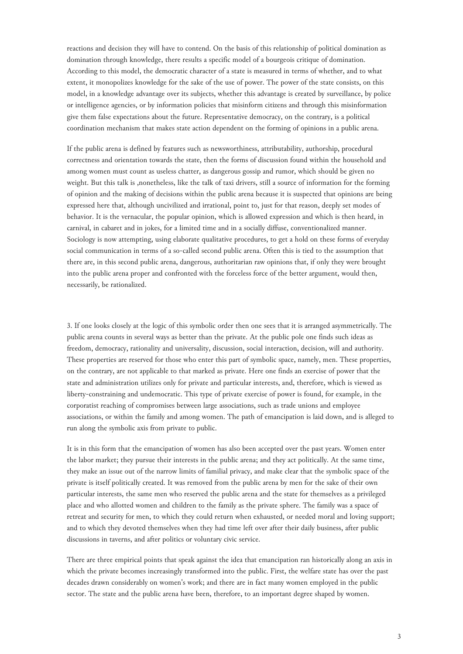reactions and decision they will have to contend. On the basis of this relationship of political domination as domination through knowledge, there results a specific model of a bourgeois critique of domination. According to this model, the democratic character of a state is measured in terms of whether, and to what extent, it monopolizes knowledge for the sake of the use of power. The power of the state consists, on this model, in a knowledge advantage over its subjects, whether this advantage is created by surveillance, by police or intelligence agencies, or by information policies that misinform citizens and through this misinformation give them false expectations about the future. Representative democracy, on the contrary, is a political coordination mechanism that makes state action dependent on the forming of opinions in a public arena.

If the public arena is defined by features such as newsworthiness, attributability, authorship, procedural correctness and orientation towards the state, then the forms of discussion found within the household and among women must count as useless chatter, as dangerous gossip and rumor, which should be given no weight. But this talk is ,nonetheless, like the talk of taxi drivers, still a source of information for the forming of opinion and the making of decisions within the public arena because it is suspected that opinions are being expressed here that, although uncivilized and irrational, point to, just for that reason, deeply set modes of behavior. It is the vernacular, the popular opinion, which is allowed expression and which is then heard, in carnival, in cabaret and in jokes, for a limited time and in a socially diffuse, conventionalized manner. Sociology is now attempting, using elaborate qualitative procedures, to get a hold on these forms of everyday social communication in terms of a so-called second public arena. Often this is tied to the assumption that there are, in this second public arena, dangerous, authoritarian raw opinions that, if only they were brought into the public arena proper and confronted with the forceless force of the better argument, would then, necessarily, be rationalized.

3. If one looks closely at the logic of this symbolic order then one sees that it is arranged asymmetrically. The public arena counts in several ways as better than the private. At the public pole one finds such ideas as freedom, democracy, rationality and universality, discussion, social interaction, decision, will and authority. These properties are reserved for those who enter this part of symbolic space, namely, men. These properties, on the contrary, are not applicable to that marked as private. Here one finds an exercise of power that the state and administration utilizes only for private and particular interests, and, therefore, which is viewed as liberty-constraining and undemocratic. This type of private exercise of power is found, for example, in the corporatist reaching of compromises between large associations, such as trade unions and employee associations, or within the family and among women. The path of emancipation is laid down, and is alleged to run along the symbolic axis from private to public.

It is in this form that the emancipation of women has also been accepted over the past years. Women enter the labor market; they pursue their interests in the public arena; and they act politically. At the same time, they make an issue out of the narrow limits of familial privacy, and make clear that the symbolic space of the private is itself politically created. It was removed from the public arena by men for the sake of their own particular interests, the same men who reserved the public arena and the state for themselves as a privileged place and who allotted women and children to the family as the private sphere. The family was a space of retreat and security for men, to which they could return when exhausted, or needed moral and loving support; and to which they devoted themselves when they had time left over after their daily business, after public discussions in taverns, and after politics or voluntary civic service.

There are three empirical points that speak against the idea that emancipation ran historically along an axis in which the private becomes increasingly transformed into the public. First, the welfare state has over the past decades drawn considerably on women's work; and there are in fact many women employed in the public sector. The state and the public arena have been, therefore, to an important degree shaped by women.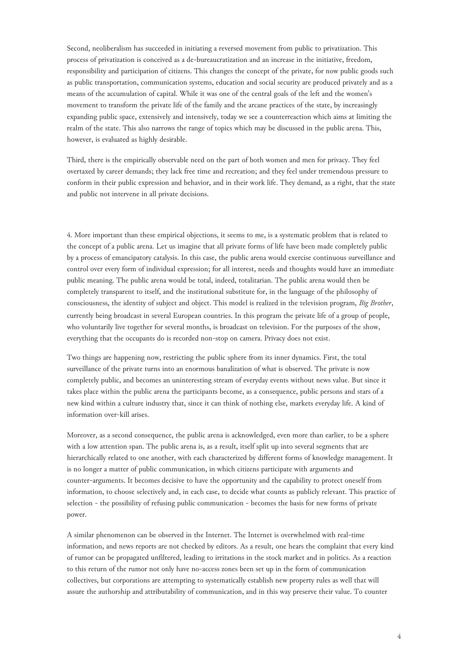Second, neoliberalism has succeeded in initiating a reversed movement from public to privatization. This process of privatization is conceived as a de-bureaucratization and an increase in the initiative, freedom, responsibility and participation of citizens. This changes the concept of the private, for now public goods such as public transportation, communication systems, education and social security are produced privately and as a means of the accumulation of capital. While it was one of the central goals of the left and the women's movement to transform the private life of the family and the arcane practices of the state, by increasingly expanding public space, extensively and intensively, today we see a counterreaction which aims at limiting the realm of the state. This also narrows the range of topics which may be discussed in the public arena. This, however, is evaluated as highly desirable.

Third, there is the empirically observable need on the part of both women and men for privacy. They feel overtaxed by career demands; they lack free time and recreation; and they feel under tremendous pressure to conform in their public expression and behavior, and in their work life. They demand, as a right, that the state and public not intervene in all private decisions.

4. More important than these empirical objections, it seems to me, is a systematic problem that is related to the concept of a public arena. Let us imagine that all private forms of life have been made completely public by a process of emancipatory catalysis. In this case, the public arena would exercise continuous surveillance and control over every form of individual expression; for all interest, needs and thoughts would have an immediate public meaning. The public arena would be total, indeed, totalitarian. The public arena would then be completely transparent to itself, and the institutional substitute for, in the language of the philosophy of consciousness, the identity of subject and object. This model is realized in the television program, *Big Brother*, currently being broadcast in several European countries. In this program the private life of a group of people, who voluntarily live together for several months, is broadcast on television. For the purposes of the show, everything that the occupants do is recorded non-stop on camera. Privacy does not exist.

Two things are happening now, restricting the public sphere from its inner dynamics. First, the total surveillance of the private turns into an enormous banalization of what is observed. The private is now completely public, and becomes an uninteresting stream of everyday events without news value. But since it takes place within the public arena the participants become, as a consequence, public persons and stars of a new kind within a culture industry that, since it can think of nothing else, markets everyday life. A kind of information over-kill arises.

Moreover, as a second consequence, the public arena is acknowledged, even more than earlier, to be a sphere with a low attention span. The public arena is, as a result, itself split up into several segments that are hierarchically related to one another, with each characterized by different forms of knowledge management. It is no longer a matter of public communication, in which citizens participate with arguments and counter-arguments. It becomes decisive to have the opportunity and the capability to protect oneself from information, to choose selectively and, in each case, to decide what counts as publicly relevant. This practice of selection - the possibility of refusing public communication - becomes the basis for new forms of private power.

A similar phenomenon can be observed in the Internet. The Internet is overwhelmed with real-time information, and news reports are not checked by editors. As a result, one hears the complaint that every kind of rumor can be propagated unfiltered, leading to irritations in the stock market and in politics. As a reaction to this return of the rumor not only have no-access zones been set up in the form of communication collectives, but corporations are attempting to systematically establish new property rules as well that will assure the authorship and attributability of communication, and in this way preserve their value. To counter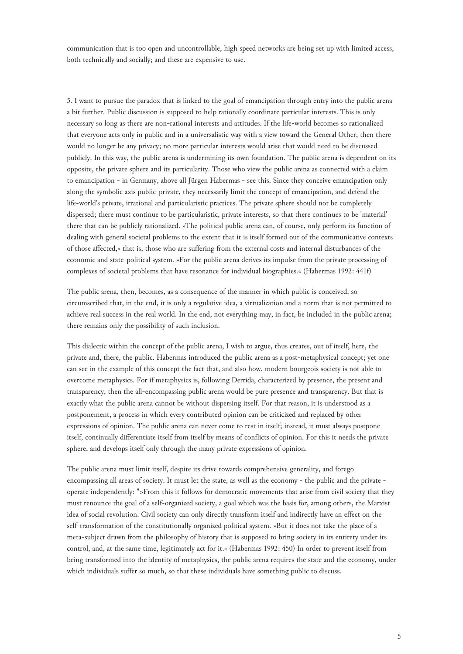communication that is too open and uncontrollable, high speed networks are being set up with limited access, both technically and socially; and these are expensive to use.

5. I want to pursue the paradox that is linked to the goal of emancipation through entry into the public arena a bit further. Public discussion is supposed to help rationally coordinate particular interests. This is only necessary so long as there are non-rational interests and attitudes. If the life-world becomes so rationalized that everyone acts only in public and in a universalistic way with a view toward the General Other, then there would no longer be any privacy; no more particular interests would arise that would need to be discussed publicly. In this way, the public arena is undermining its own foundation. The public arena is dependent on its opposite, the private sphere and its particularity. Those who view the public arena as connected with a claim to emancipation - in Germany, above all Jürgen Habermas - see this. Since they conceive emancipation only along the symbolic axis public-private, they necessarily limit the concept of emancipation, and defend the life-world's private, irrational and particularistic practices. The private sphere should not be completely dispersed; there must continue to be particularistic, private interests, so that there continues to be 'material' there that can be publicly rationalized. »The political public arena can, of course, only perform its function of dealing with general societal problems to the extent that it is itself formed out of the communicative contexts of those affected,« that is, those who are suffering from the external costs and internal disturbances of the economic and state-political system. »For the public arena derives its impulse from the private processing of complexes of societal problems that have resonance for individual biographies.« (Habermas 1992: 441f)

The public arena, then, becomes, as a consequence of the manner in which public is conceived, so circumscribed that, in the end, it is only a regulative idea, a virtualization and a norm that is not permitted to achieve real success in the real world. In the end, not everything may, in fact, be included in the public arena; there remains only the possibility of such inclusion.

This dialectic within the concept of the public arena, I wish to argue, thus creates, out of itself, here, the private and, there, the public. Habermas introduced the public arena as a post-metaphysical concept; yet one can see in the example of this concept the fact that, and also how, modern bourgeois society is not able to overcome metaphysics. For if metaphysics is, following Derrida, characterized by presence, the present and transparency, then the all-encompassing public arena would be pure presence and transparency. But that is exactly what the public arena cannot be without dispersing itself. For that reason, it is understood as a postponement, a process in which every contributed opinion can be criticized and replaced by other expressions of opinion. The public arena can never come to rest in itself; instead, it must always postpone itself, continually differentiate itself from itself by means of conflicts of opinion. For this it needs the private sphere, and develops itself only through the many private expressions of opinion.

The public arena must limit itself, despite its drive towards comprehensive generality, and forego encompassing all areas of society. It must let the state, as well as the economy - the public and the private operate independently: ">From this it follows for democratic movements that arise from civil society that they must renounce the goal of a self-organized society, a goal which was the basis for, among others, the Marxist idea of social revolution. Civil society can only directly transform itself and indirectly have an effect on the self-transformation of the constitutionally organized political system. »But it does not take the place of a meta-subject drawn from the philosophy of history that is supposed to bring society in its entirety under its control, and, at the same time, legitimately act for it.« (Habermas 1992: 450) In order to prevent itself from being transformed into the identity of metaphysics, the public arena requires the state and the economy, under which individuals suffer so much, so that these individuals have something public to discuss.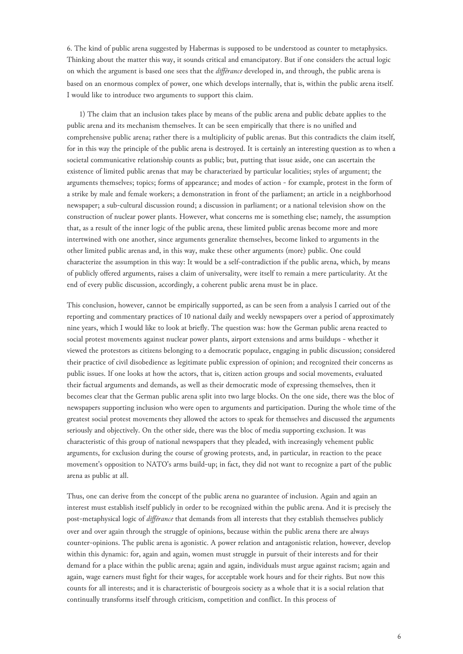6. The kind of public arena suggested by Habermas is supposed to be understood as counter to metaphysics. Thinking about the matter this way, it sounds critical and emancipatory. But if one considers the actual logic on which the argument is based one sees that the *différance* developed in, and through, the public arena is based on an enormous complex of power, one which develops internally, that is, within the public arena itself. I would like to introduce two arguments to support this claim.

1) The claim that an inclusion takes place by means of the public arena and public debate applies to the public arena and its mechanism themselves. It can be seen empirically that there is no unified and comprehensive public arena; rather there is a multiplicity of public arenas. But this contradicts the claim itself, for in this way the principle of the public arena is destroyed. It is certainly an interesting question as to when a societal communicative relationship counts as public; but, putting that issue aside, one can ascertain the existence of limited public arenas that may be characterized by particular localities; styles of argument; the arguments themselves; topics; forms of appearance; and modes of action - for example, protest in the form of a strike by male and female workers; a demonstration in front of the parliament; an article in a neighborhood newspaper; a sub-cultural discussion round; a discussion in parliament; or a national television show on the construction of nuclear power plants. However, what concerns me is something else; namely, the assumption that, as a result of the inner logic of the public arena, these limited public arenas become more and more intertwined with one another, since arguments generalize themselves, become linked to arguments in the other limited public arenas and, in this way, make these other arguments (more) public. One could characterize the assumption in this way: It would be a self-contradiction if the public arena, which, by means of publicly offered arguments, raises a claim of universality, were itself to remain a mere particularity. At the end of every public discussion, accordingly, a coherent public arena must be in place.

This conclusion, however, cannot be empirically supported, as can be seen from a analysis I carried out of the reporting and commentary practices of 10 national daily and weekly newspapers over a period of approximately nine years, which I would like to look at briefly. The question was: how the German public arena reacted to social protest movements against nuclear power plants, airport extensions and arms buildups - whether it viewed the protestors as citizens belonging to a democratic populace, engaging in public discussion; considered their practice of civil disobedience as legitimate public expression of opinion; and recognized their concerns as public issues. If one looks at how the actors, that is, citizen action groups and social movements, evaluated their factual arguments and demands, as well as their democratic mode of expressing themselves, then it becomes clear that the German public arena split into two large blocks. On the one side, there was the bloc of newspapers supporting inclusion who were open to arguments and participation. During the whole time of the greatest social protest movements they allowed the actors to speak for themselves and discussed the arguments seriously and objectively. On the other side, there was the bloc of media supporting exclusion. It was characteristic of this group of national newspapers that they pleaded, with increasingly vehement public arguments, for exclusion during the course of growing protests, and, in particular, in reaction to the peace movement's opposition to NATO's arms build-up; in fact, they did not want to recognize a part of the public arena as public at all.

Thus, one can derive from the concept of the public arena no guarantee of inclusion. Again and again an interest must establish itself publicly in order to be recognized within the public arena. And it is precisely the post-metaphysical logic of *différance* that demands from all interests that they establish themselves publicly over and over again through the struggle of opinions, because within the public arena there are always counter-opinions. The public arena is agonistic. A power relation and antagonistic relation, however, develop within this dynamic: for, again and again, women must struggle in pursuit of their interests and for their demand for a place within the public arena; again and again, individuals must argue against racism; again and again, wage earners must fight for their wages, for acceptable work hours and for their rights. But now this counts for all interests; and it is characteristic of bourgeois society as a whole that it is a social relation that continually transforms itself through criticism, competition and conflict. In this process of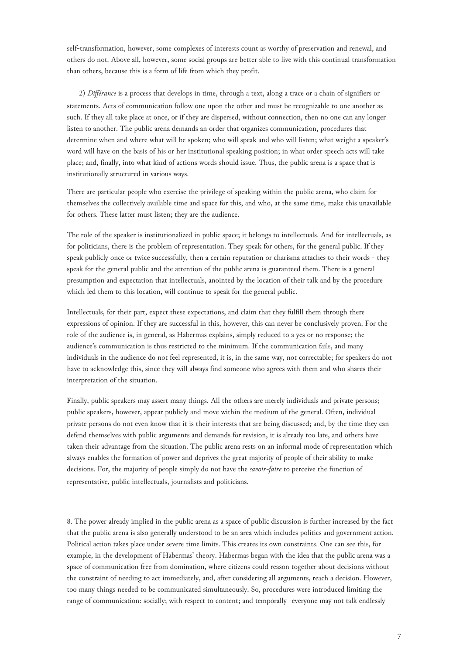self-transformation, however, some complexes of interests count as worthy of preservation and renewal, and others do not. Above all, however, some social groups are better able to live with this continual transformation than others, because this is a form of life from which they profit.

2) *Différance* is a process that develops in time, through a text, along a trace or a chain of signifiers or statements. Acts of communication follow one upon the other and must be recognizable to one another as such. If they all take place at once, or if they are dispersed, without connection, then no one can any longer listen to another. The public arena demands an order that organizes communication, procedures that determine when and where what will be spoken; who will speak and who will listen; what weight a speaker's word will have on the basis of his or her institutional speaking position; in what order speech acts will take place; and, finally, into what kind of actions words should issue. Thus, the public arena is a space that is institutionally structured in various ways.

There are particular people who exercise the privilege of speaking within the public arena, who claim for themselves the collectively available time and space for this, and who, at the same time, make this unavailable for others. These latter must listen; they are the audience.

The role of the speaker is institutionalized in public space; it belongs to intellectuals. And for intellectuals, as for politicians, there is the problem of representation. They speak for others, for the general public. If they speak publicly once or twice successfully, then a certain reputation or charisma attaches to their words - they speak for the general public and the attention of the public arena is guaranteed them. There is a general presumption and expectation that intellectuals, anointed by the location of their talk and by the procedure which led them to this location, will continue to speak for the general public.

Intellectuals, for their part, expect these expectations, and claim that they fulfill them through there expressions of opinion. If they are successful in this, however, this can never be conclusively proven. For the role of the audience is, in general, as Habermas explains, simply reduced to a yes or no response; the audience's communication is thus restricted to the minimum. If the communication fails, and many individuals in the audience do not feel represented, it is, in the same way, not correctable; for speakers do not have to acknowledge this, since they will always find someone who agrees with them and who shares their interpretation of the situation.

Finally, public speakers may assert many things. All the others are merely individuals and private persons; public speakers, however, appear publicly and move within the medium of the general. Often, individual private persons do not even know that it is their interests that are being discussed; and, by the time they can defend themselves with public arguments and demands for revision, it is already too late, and others have taken their advantage from the situation. The public arena rests on an informal mode of representation which always enables the formation of power and deprives the great majority of people of their ability to make decisions. For, the majority of people simply do not have the *savoir-faire* to perceive the function of representative, public intellectuals, journalists and politicians.

8. The power already implied in the public arena as a space of public discussion is further increased by the fact that the public arena is also generally understood to be an area which includes politics and government action. Political action takes place under severe time limits. This creates its own constraints. One can see this, for example, in the development of Habermas' theory. Habermas began with the idea that the public arena was a space of communication free from domination, where citizens could reason together about decisions without the constraint of needing to act immediately, and, after considering all arguments, reach a decision. However, too many things needed to be communicated simultaneously. So, procedures were introduced limiting the range of communication: socially; with respect to content; and temporally -everyone may not talk endlessly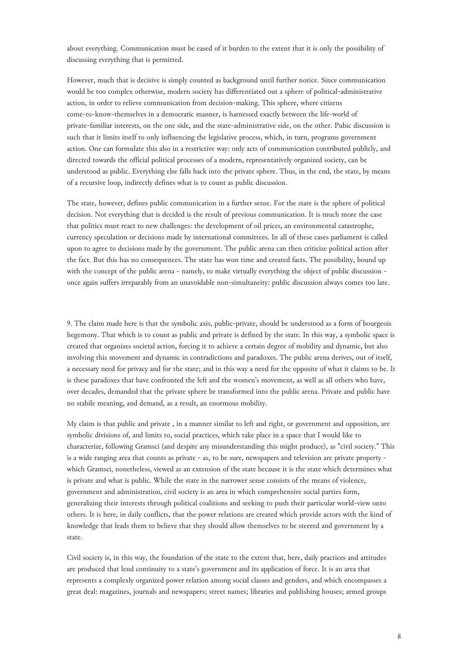about everything. Communication must be eased of it burden to the extent that it is only the possibility of discussing everything that is permitted.

However, much that is decisive is simply counted as background until further notice. Since communication would be too complex otherwise, modern society has differentiated out a sphere of political-administrative action, in order to relieve communication from decision-making. This sphere, where citizens come-to-know-themselves in a democratic manner, is harnessed exactly between the life-world of private-familiar interests, on the one side, and the state-administrative side, on the other. Pubic discussion is such that it limits itself to only influencing the legislative process, which, in turn, programs government action. One can formulate this also in a restrictive way: only acts of communication contributed publicly, and directed towards the official political processes of a modern, representatively organized society, can be understood as public. Everything else falls back into the private sphere. Thus, in the end, the state, by means of a recursive loop, indirectly defines what is to count as public discussion.

The state, however, defines public communication in a further sense. For the state is the sphere of political decision. Not everything that is decided is the result of previous communication. It is much more the case that politics must react to new challenges: the development of oil prices, an environmental catastrophe, currency speculation or decisions made by international committees. In all of these cases parliament is called upon to agree to decisions made by the government. The public arena can then criticize political action after the fact. But this has no consequences. The state has won time and created facts. The possibility, bound up with the concept of the public arena - namely, to make virtually everything the object of public discussion once again suffers irreparably from an unavoidable non-simultaneity: public discussion always comes too late.

9. The claim made here is that the symbolic axis, public-private, should be understood as a form of bourgeois hegemony. That which is to count as public and private is defined by the state. In this way, a symbolic space is created that organizes societal action, forcing it to achieve a certain degree of mobility and dynamic, but also involving this movement and dynamic in contradictions and paradoxes. The public arena derives, out of itself, a necessary need for privacy and for the state; and in this way a need for the opposite of what it claims to be. It is these paradoxes that have confronted the left and the women's movement, as well as all others who have, over decades, demanded that the private sphere be transformed into the public arena. Private and public have no stabile meaning, and demand, as a result, an enormous mobility.

My claim is that public and private , in a manner similar to left and right, or government and opposition, are symbolic divisions of, and limits to, social practices, which take place in a space that I would like to characterize, following Gramsci (and despite any misunderstanding this might produce), as "civil society." This is a wide ranging area that counts as private - as, to be sure, newspapers and television are private property which Gramsci, nonetheless, viewed as an extension of the state because it is the state which determines what is private and what is public. While the state in the narrower sense consists of the means of violence, government and administration, civil society is an area in which comprehensive social parties form, generalizing their interests through political coalitions and seeking to push their particular world-view onto others. It is here, in daily conflicts, that the power relations are created which provide actors with the kind of knowledge that leads them to believe that they should allow themselves to be steered and government by a state.

Civil society is, in this way, the foundation of the state to the extent that, here, daily practices and attitudes are produced that lend continuity to a state's government and its application of force. It is an area that represents a complexly organized power relation among social classes and genders, and which encompasses a great deal: magazines, journals and newspapers; street names; libraries and publishing houses; armed groups